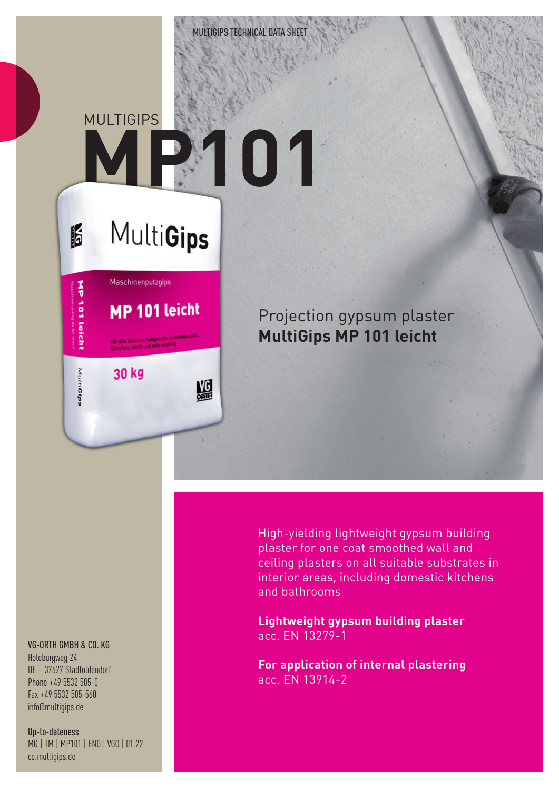**MULTIGIPS** 

K

## **MP101**

## **MultiGips**

鰮



Projection gypsum plaster **MultiGips MP 101 leicht**

VG-ORTH GMBH & CO. KG

Holeburgweg 24 DE – 37627 Stadtoldendorf Phone +49 5532 505-0 Fax +49 5532 505-560 info@multigips.de

Up-to-dateness MG | TM | MP101 | ENG | VGO | 01.22 ce.multigips.de

High-yielding lightweight gypsum building plaster for one coat smoothed wall and ceiling plasters on all suitable substrates in interior areas, including domestic kitchens and bathrooms

**Lightweight gypsum building plaster** acc. EN 13279-1

**For application of internal plastering** acc. EN 13914-2